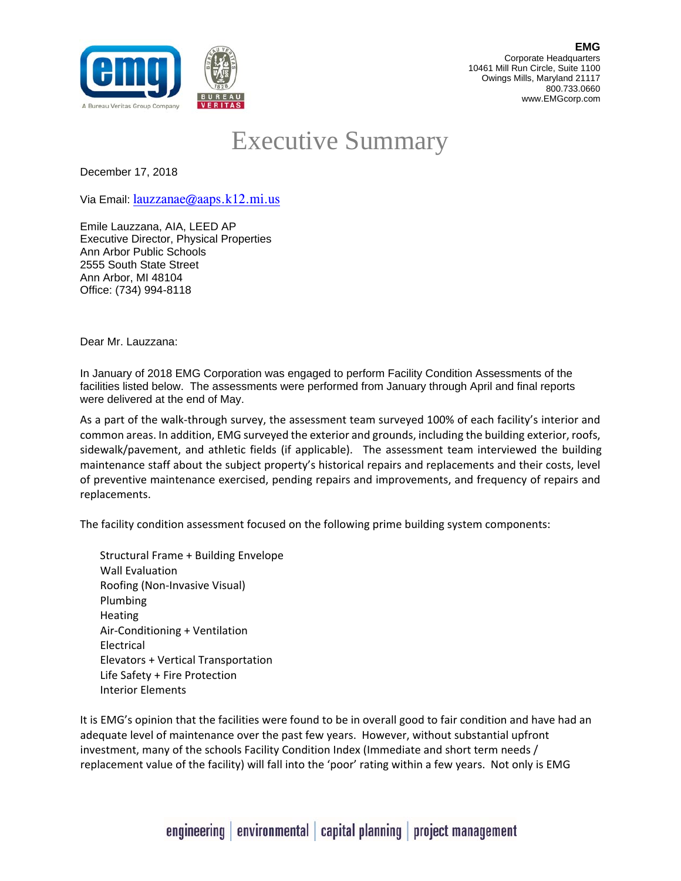

## Executive Summary

December 17, 2018

Via Email: lauzzanae@aaps.k12.mi.us

Emile Lauzzana, AIA, LEED AP Executive Director, Physical Properties Ann Arbor Public Schools 2555 South State Street Ann Arbor, MI 48104 Office: (734) 994-8118

Dear Mr. Lauzzana:

In January of 2018 EMG Corporation was engaged to perform Facility Condition Assessments of the facilities listed below. The assessments were performed from January through April and final reports were delivered at the end of May.

As a part of the walk‐through survey, the assessment team surveyed 100% of each facility's interior and common areas. In addition, EMG surveyed the exterior and grounds, including the building exterior, roofs, sidewalk/pavement, and athletic fields (if applicable). The assessment team interviewed the building maintenance staff about the subject property's historical repairs and replacements and their costs, level of preventive maintenance exercised, pending repairs and improvements, and frequency of repairs and replacements.

The facility condition assessment focused on the following prime building system components:

Structural Frame + Building Envelope Wall Evaluation Roofing (Non‐Invasive Visual) Plumbing **Heating** Air‐Conditioning + Ventilation Electrical Elevators + Vertical Transportation Life Safety + Fire Protection Interior Elements

It is EMG's opinion that the facilities were found to be in overall good to fair condition and have had an adequate level of maintenance over the past few years. However, without substantial upfront investment, many of the schools Facility Condition Index (Immediate and short term needs / replacement value of the facility) will fall into the 'poor' rating within a few years. Not only is EMG